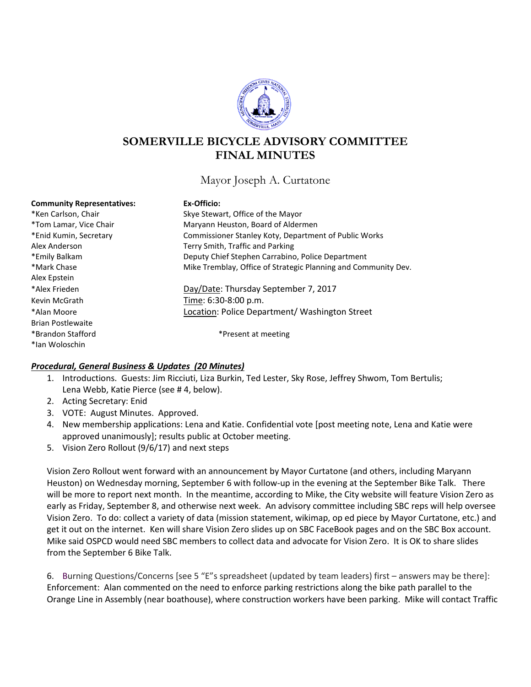

# **SOMERVILLE BICYCLE ADVISORY COMMITTEE FINAL MINUTES**

Mayor Joseph A. Curtatone

| <b>Community Representatives:</b> | Ex-Officio:                                                    |
|-----------------------------------|----------------------------------------------------------------|
| *Ken Carlson, Chair               | Skye Stewart, Office of the Mayor                              |
| *Tom Lamar, Vice Chair            | Maryann Heuston, Board of Aldermen                             |
| *Enid Kumin, Secretary            | Commissioner Stanley Koty, Department of Public Works          |
| Alex Anderson                     | Terry Smith, Traffic and Parking                               |
| *Emily Balkam                     | Deputy Chief Stephen Carrabino, Police Department              |
| *Mark Chase                       | Mike Tremblay, Office of Strategic Planning and Community Dev. |
| Alex Epstein                      |                                                                |
| *Alex Frieden                     | Day/Date: Thursday September 7, 2017                           |
| Kevin McGrath                     | Time: 6:30-8:00 p.m.                                           |
| *Alan Moore                       | Location: Police Department/ Washington Street                 |
| <b>Brian Postlewaite</b>          |                                                                |
| *Brandon Stafford                 | *Present at meeting                                            |
| *lan Woloschin                    |                                                                |

## *Procedural, General Business & Updates (20 Minutes)*

- 1. Introductions. Guests: Jim Ricciuti, Liza Burkin, Ted Lester, Sky Rose, Jeffrey Shwom, Tom Bertulis; Lena Webb, Katie Pierce (see # 4, below).
- 2. Acting Secretary: Enid
- 3. VOTE: August Minutes. Approved.
- 4. New membership applications: Lena and Katie. Confidential vote [post meeting note, Lena and Katie were approved unanimously]; results public at October meeting.
- 5. Vision Zero Rollout (9/6/17) and next steps

Vision Zero Rollout went forward with an announcement by Mayor Curtatone (and others, including Maryann Heuston) on Wednesday morning, September 6 with follow-up in the evening at the September Bike Talk. There will be more to report next month. In the meantime, according to Mike, the City website will feature Vision Zero as early as Friday, September 8, and otherwise next week. An advisory committee including SBC reps will help oversee Vision Zero. To do: collect a variety of data (mission statement, wikimap, op ed piece by Mayor Curtatone, etc.) and get it out on the internet. Ken will share Vision Zero slides up on SBC FaceBook pages and on the SBC Box account. Mike said OSPCD would need SBC members to collect data and advocate for Vision Zero. It is OK to share slides from the September 6 Bike Talk.

6. Burning Questions/Concerns [see 5 "E"s spreadsheet (updated by team leaders) first – answers may be there]: Enforcement: Alan commented on the need to enforce parking restrictions along the bike path parallel to the Orange Line in Assembly (near boathouse), where construction workers have been parking. Mike will contact Traffic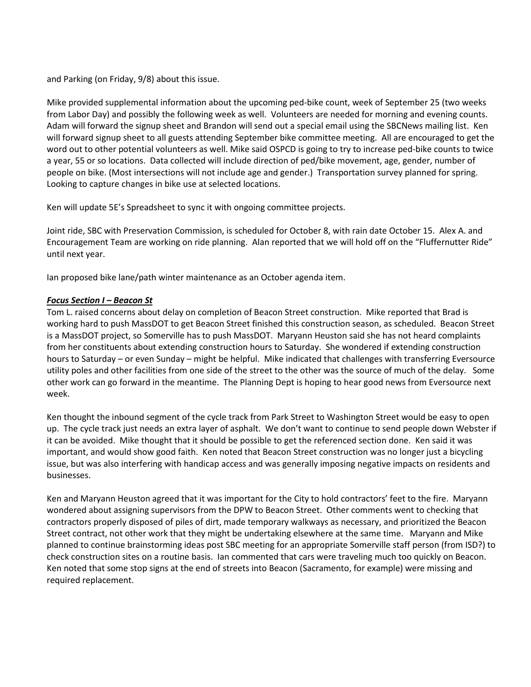and Parking (on Friday, 9/8) about this issue.

Mike provided supplemental information about the upcoming ped-bike count, week of September 25 (two weeks from Labor Day) and possibly the following week as well. Volunteers are needed for morning and evening counts. Adam will forward the signup sheet and Brandon will send out a special email using the SBCNews mailing list. Ken will forward signup sheet to all guests attending September bike committee meeting. All are encouraged to get the word out to other potential volunteers as well. Mike said OSPCD is going to try to increase ped-bike counts to twice a year, 55 or so locations. Data collected will include direction of ped/bike movement, age, gender, number of people on bike. (Most intersections will not include age and gender.) Transportation survey planned for spring. Looking to capture changes in bike use at selected locations.

Ken will update 5E's Spreadsheet to sync it with ongoing committee projects.

Joint ride, SBC with Preservation Commission, is scheduled for October 8, with rain date October 15. Alex A. and Encouragement Team are working on ride planning. Alan reported that we will hold off on the "Fluffernutter Ride" until next year.

Ian proposed bike lane/path winter maintenance as an October agenda item.

#### *Focus Section I – Beacon St*

Tom L. raised concerns about delay on completion of Beacon Street construction. Mike reported that Brad is working hard to push MassDOT to get Beacon Street finished this construction season, as scheduled. Beacon Street is a MassDOT project, so Somerville has to push MassDOT. Maryann Heuston said she has not heard complaints from her constituents about extending construction hours to Saturday. She wondered if extending construction hours to Saturday – or even Sunday – might be helpful. Mike indicated that challenges with transferring Eversource utility poles and other facilities from one side of the street to the other was the source of much of the delay. Some other work can go forward in the meantime. The Planning Dept is hoping to hear good news from Eversource next week.

Ken thought the inbound segment of the cycle track from Park Street to Washington Street would be easy to open up. The cycle track just needs an extra layer of asphalt. We don't want to continue to send people down Webster if it can be avoided. Mike thought that it should be possible to get the referenced section done. Ken said it was important, and would show good faith. Ken noted that Beacon Street construction was no longer just a bicycling issue, but was also interfering with handicap access and was generally imposing negative impacts on residents and businesses.

Ken and Maryann Heuston agreed that it was important for the City to hold contractors' feet to the fire. Maryann wondered about assigning supervisors from the DPW to Beacon Street. Other comments went to checking that contractors properly disposed of piles of dirt, made temporary walkways as necessary, and prioritized the Beacon Street contract, not other work that they might be undertaking elsewhere at the same time. Maryann and Mike planned to continue brainstorming ideas post SBC meeting for an appropriate Somerville staff person (from ISD?) to check construction sites on a routine basis. Ian commented that cars were traveling much too quickly on Beacon. Ken noted that some stop signs at the end of streets into Beacon (Sacramento, for example) were missing and required replacement.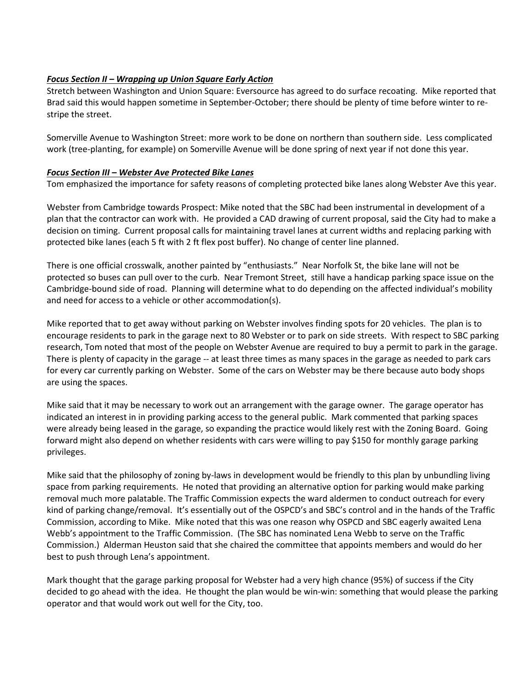# *Focus Section II – Wrapping up Union Square Early Action*

Stretch between Washington and Union Square: Eversource has agreed to do surface recoating. Mike reported that Brad said this would happen sometime in September-October; there should be plenty of time before winter to restripe the street.

Somerville Avenue to Washington Street: more work to be done on northern than southern side. Less complicated work (tree-planting, for example) on Somerville Avenue will be done spring of next year if not done this year.

# *Focus Section III – Webster Ave Protected Bike Lanes*

Tom emphasized the importance for safety reasons of completing protected bike lanes along Webster Ave this year.

Webster from Cambridge towards Prospect: Mike noted that the SBC had been instrumental in development of a plan that the contractor can work with. He provided a CAD drawing of current proposal, said the City had to make a decision on timing. Current proposal calls for maintaining travel lanes at current widths and replacing parking with protected bike lanes (each 5 ft with 2 ft flex post buffer). No change of center line planned.

There is one official crosswalk, another painted by "enthusiasts." Near Norfolk St, the bike lane will not be protected so buses can pull over to the curb. Near Tremont Street, still have a handicap parking space issue on the Cambridge-bound side of road. Planning will determine what to do depending on the affected individual's mobility and need for access to a vehicle or other accommodation(s).

Mike reported that to get away without parking on Webster involves finding spots for 20 vehicles. The plan is to encourage residents to park in the garage next to 80 Webster or to park on side streets. With respect to SBC parking research, Tom noted that most of the people on Webster Avenue are required to buy a permit to park in the garage. There is plenty of capacity in the garage -- at least three times as many spaces in the garage as needed to park cars for every car currently parking on Webster. Some of the cars on Webster may be there because auto body shops are using the spaces.

Mike said that it may be necessary to work out an arrangement with the garage owner. The garage operator has indicated an interest in in providing parking access to the general public. Mark commented that parking spaces were already being leased in the garage, so expanding the practice would likely rest with the Zoning Board. Going forward might also depend on whether residents with cars were willing to pay \$150 for monthly garage parking privileges.

Mike said that the philosophy of zoning by-laws in development would be friendly to this plan by unbundling living space from parking requirements. He noted that providing an alternative option for parking would make parking removal much more palatable. The Traffic Commission expects the ward aldermen to conduct outreach for every kind of parking change/removal. It's essentially out of the OSPCD's and SBC's control and in the hands of the Traffic Commission, according to Mike. Mike noted that this was one reason why OSPCD and SBC eagerly awaited Lena Webb's appointment to the Traffic Commission. (The SBC has nominated Lena Webb to serve on the Traffic Commission.) Alderman Heuston said that she chaired the committee that appoints members and would do her best to push through Lena's appointment.

Mark thought that the garage parking proposal for Webster had a very high chance (95%) of success if the City decided to go ahead with the idea. He thought the plan would be win-win: something that would please the parking operator and that would work out well for the City, too.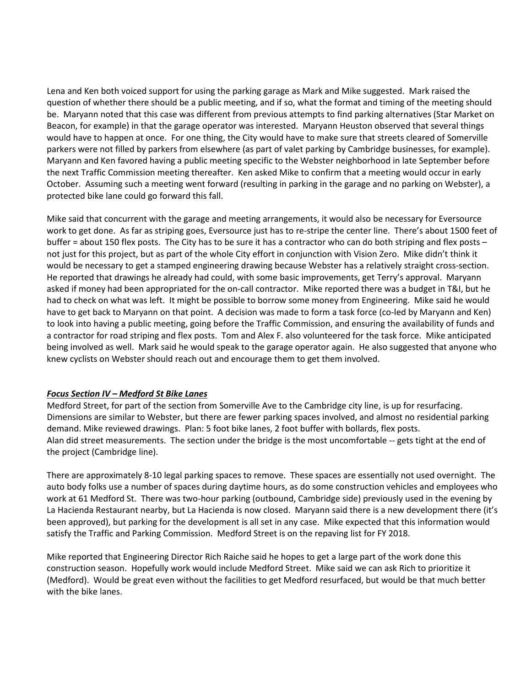Lena and Ken both voiced support for using the parking garage as Mark and Mike suggested. Mark raised the question of whether there should be a public meeting, and if so, what the format and timing of the meeting should be. Maryann noted that this case was different from previous attempts to find parking alternatives (Star Market on Beacon, for example) in that the garage operator was interested. Maryann Heuston observed that several things would have to happen at once. For one thing, the City would have to make sure that streets cleared of Somerville parkers were not filled by parkers from elsewhere (as part of valet parking by Cambridge businesses, for example). Maryann and Ken favored having a public meeting specific to the Webster neighborhood in late September before the next Traffic Commission meeting thereafter. Ken asked Mike to confirm that a meeting would occur in early October. Assuming such a meeting went forward (resulting in parking in the garage and no parking on Webster), a protected bike lane could go forward this fall.

Mike said that concurrent with the garage and meeting arrangements, it would also be necessary for Eversource work to get done. As far as striping goes, Eversource just has to re-stripe the center line. There's about 1500 feet of buffer = about 150 flex posts. The City has to be sure it has a contractor who can do both striping and flex posts – not just for this project, but as part of the whole City effort in conjunction with Vision Zero. Mike didn't think it would be necessary to get a stamped engineering drawing because Webster has a relatively straight cross-section. He reported that drawings he already had could, with some basic improvements, get Terry's approval. Maryann asked if money had been appropriated for the on-call contractor. Mike reported there was a budget in T&I, but he had to check on what was left. It might be possible to borrow some money from Engineering. Mike said he would have to get back to Maryann on that point. A decision was made to form a task force (co-led by Maryann and Ken) to look into having a public meeting, going before the Traffic Commission, and ensuring the availability of funds and a contractor for road striping and flex posts. Tom and Alex F. also volunteered for the task force. Mike anticipated being involved as well. Mark said he would speak to the garage operator again. He also suggested that anyone who knew cyclists on Webster should reach out and encourage them to get them involved.

## *Focus Section IV – Medford St Bike Lanes*

Medford Street, for part of the section from Somerville Ave to the Cambridge city line, is up for resurfacing. Dimensions are similar to Webster, but there are fewer parking spaces involved, and almost no residential parking demand. Mike reviewed drawings. Plan: 5 foot bike lanes, 2 foot buffer with bollards, flex posts. Alan did street measurements. The section under the bridge is the most uncomfortable -- gets tight at the end of the project (Cambridge line).

There are approximately 8-10 legal parking spaces to remove. These spaces are essentially not used overnight. The auto body folks use a number of spaces during daytime hours, as do some construction vehicles and employees who work at 61 Medford St. There was two-hour parking (outbound, Cambridge side) previously used in the evening by La Hacienda Restaurant nearby, but La Hacienda is now closed. Maryann said there is a new development there (it's been approved), but parking for the development is all set in any case. Mike expected that this information would satisfy the Traffic and Parking Commission. Medford Street is on the repaving list for FY 2018.

Mike reported that Engineering Director Rich Raiche said he hopes to get a large part of the work done this construction season. Hopefully work would include Medford Street. Mike said we can ask Rich to prioritize it (Medford). Would be great even without the facilities to get Medford resurfaced, but would be that much better with the bike lanes.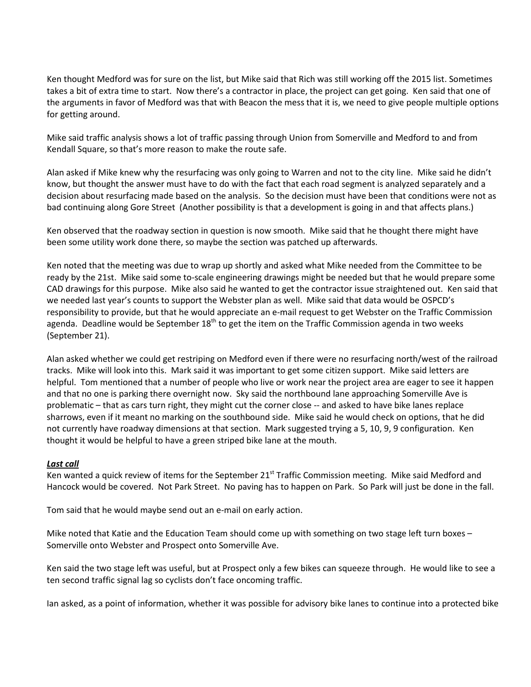Ken thought Medford was for sure on the list, but Mike said that Rich was still working off the 2015 list. Sometimes takes a bit of extra time to start. Now there's a contractor in place, the project can get going. Ken said that one of the arguments in favor of Medford was that with Beacon the mess that it is, we need to give people multiple options for getting around.

Mike said traffic analysis shows a lot of traffic passing through Union from Somerville and Medford to and from Kendall Square, so that's more reason to make the route safe.

Alan asked if Mike knew why the resurfacing was only going to Warren and not to the city line. Mike said he didn't know, but thought the answer must have to do with the fact that each road segment is analyzed separately and a decision about resurfacing made based on the analysis. So the decision must have been that conditions were not as bad continuing along Gore Street (Another possibility is that a development is going in and that affects plans.)

Ken observed that the roadway section in question is now smooth. Mike said that he thought there might have been some utility work done there, so maybe the section was patched up afterwards.

Ken noted that the meeting was due to wrap up shortly and asked what Mike needed from the Committee to be ready by the 21st. Mike said some to-scale engineering drawings might be needed but that he would prepare some CAD drawings for this purpose. Mike also said he wanted to get the contractor issue straightened out. Ken said that we needed last year's counts to support the Webster plan as well. Mike said that data would be OSPCD's responsibility to provide, but that he would appreciate an e-mail request to get Webster on the Traffic Commission agenda. Deadline would be September 18<sup>th</sup> to get the item on the Traffic Commission agenda in two weeks (September 21).

Alan asked whether we could get restriping on Medford even if there were no resurfacing north/west of the railroad tracks. Mike will look into this. Mark said it was important to get some citizen support. Mike said letters are helpful. Tom mentioned that a number of people who live or work near the project area are eager to see it happen and that no one is parking there overnight now. Sky said the northbound lane approaching Somerville Ave is problematic – that as cars turn right, they might cut the corner close -- and asked to have bike lanes replace sharrows, even if it meant no marking on the southbound side. Mike said he would check on options, that he did not currently have roadway dimensions at that section. Mark suggested trying a 5, 10, 9, 9 configuration. Ken thought it would be helpful to have a green striped bike lane at the mouth.

## *Last call*

Ken wanted a quick review of items for the September 21<sup>st</sup> Traffic Commission meeting. Mike said Medford and Hancock would be covered. Not Park Street. No paving has to happen on Park. So Park will just be done in the fall.

Tom said that he would maybe send out an e-mail on early action.

Mike noted that Katie and the Education Team should come up with something on two stage left turn boxes – Somerville onto Webster and Prospect onto Somerville Ave.

Ken said the two stage left was useful, but at Prospect only a few bikes can squeeze through. He would like to see a ten second traffic signal lag so cyclists don't face oncoming traffic.

Ian asked, as a point of information, whether it was possible for advisory bike lanes to continue into a protected bike